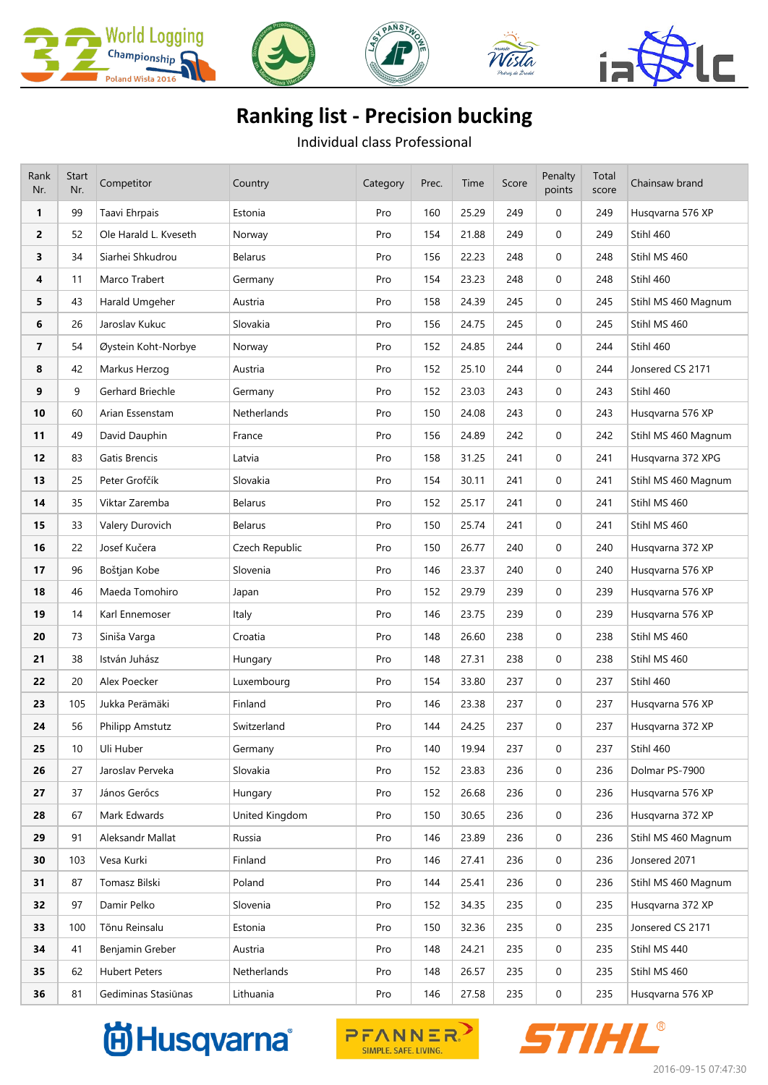

## **Ranking list - Precision bucking**

Individual class Professional

| Rank<br>Nr.             | Start<br>Nr. | Competitor             | Country        | Category | Prec. | Time  | Score | Penalty<br>points | Total<br>score | Chainsaw brand      |
|-------------------------|--------------|------------------------|----------------|----------|-------|-------|-------|-------------------|----------------|---------------------|
| $\mathbf{1}$            | 99           | Taavi Ehrpais          | Estonia        | Pro      | 160   | 25.29 | 249   | $\mathbf{0}$      | 249            | Husqvarna 576 XP    |
| $\overline{2}$          | 52           | Ole Harald L. Kveseth  | Norway         | Pro      | 154   | 21.88 | 249   | $\mathbf{0}$      | 249            | Stihl 460           |
| 3                       | 34           | Siarhei Shkudrou       | Belarus        | Pro      | 156   | 22.23 | 248   | $\mathbf{0}$      | 248            | Stihl MS 460        |
| 4                       | 11           | Marco Trabert          | Germany        | Pro      | 154   | 23.23 | 248   | $\mathbf{0}$      | 248            | Stihl 460           |
| 5                       | 43           | Harald Umgeher         | Austria        | Pro      | 158   | 24.39 | 245   | 0                 | 245            | Stihl MS 460 Magnum |
| 6                       | 26           | Jaroslav Kukuc         | Slovakia       | Pro      | 156   | 24.75 | 245   | $\mathbf{0}$      | 245            | Stihl MS 460        |
| $\overline{\mathbf{z}}$ | 54           | Øystein Koht-Norbye    | Norway         | Pro      | 152   | 24.85 | 244   | 0                 | 244            | Stihl 460           |
| 8                       | 42           | Markus Herzog          | Austria        | Pro      | 152   | 25.10 | 244   | $\mathbf{0}$      | 244            | Jonsered CS 2171    |
| 9                       | 9            | Gerhard Briechle       | Germany        | Pro      | 152   | 23.03 | 243   | $\mathbf{0}$      | 243            | Stihl 460           |
| 10                      | 60           | Arian Essenstam        | Netherlands    | Pro      | 150   | 24.08 | 243   | $\mathbf{0}$      | 243            | Husqvarna 576 XP    |
| 11                      | 49           | David Dauphin          | France         | Pro      | 156   | 24.89 | 242   | 0                 | 242            | Stihl MS 460 Magnum |
| 12                      | 83           | Gatis Brencis          | Latvia         | Pro      | 158   | 31.25 | 241   | $\mathbf{0}$      | 241            | Husqvarna 372 XPG   |
| 13                      | 25           | Peter Grofčík          | Slovakia       | Pro      | 154   | 30.11 | 241   | $\mathbf 0$       | 241            | Stihl MS 460 Magnum |
| 14                      | 35           | Viktar Zaremba         | Belarus        | Pro      | 152   | 25.17 | 241   | 0                 | 241            | Stihl MS 460        |
| 15                      | 33           | Valery Durovich        | <b>Belarus</b> | Pro      | 150   | 25.74 | 241   | 0                 | 241            | Stihl MS 460        |
| 16                      | 22           | Josef Kučera           | Czech Republic | Pro      | 150   | 26.77 | 240   | 0                 | 240            | Husqvarna 372 XP    |
| 17                      | 96           | Boštjan Kobe           | Slovenia       | Pro      | 146   | 23.37 | 240   | $\mathbf{0}$      | 240            | Husqvarna 576 XP    |
| 18                      | 46           | Maeda Tomohiro         | Japan          | Pro      | 152   | 29.79 | 239   | 0                 | 239            | Husqvarna 576 XP    |
| 19                      | 14           | Karl Ennemoser         | Italy          | Pro      | 146   | 23.75 | 239   | $\mathbf{0}$      | 239            | Husqvarna 576 XP    |
| 20                      | 73           | Siniša Varga           | Croatia        | Pro      | 148   | 26.60 | 238   | 0                 | 238            | Stihl MS 460        |
| 21                      | 38           | István Juhász          | Hungary        | Pro      | 148   | 27.31 | 238   | $\mathbf{0}$      | 238            | Stihl MS 460        |
| 22                      | 20           | Alex Poecker           | Luxembourg     | Pro      | 154   | 33.80 | 237   | $\mathbf 0$       | 237            | Stihl 460           |
| 23                      | 105          | Jukka Perämäki         | Finland        | Pro      | 146   | 23.38 | 237   | 0                 | 237            | Husqvarna 576 XP    |
| 24                      | 56           | <b>Philipp Amstutz</b> | Switzerland    | Pro      | 144   | 24.25 | 237   | 0                 | 237            | Husqvarna 372 XP    |
| 25                      | 10           | Uli Huber              | Germany        | Pro      | 140   | 19.94 | 237   | $\mathbf 0$       | 237            | Stihl 460           |
| 26                      | 27           | Jaroslav Perveka       | Slovakia       | Pro      | 152   | 23.83 | 236   | 0                 | 236            | Dolmar PS-7900      |
| 27                      | 37           | János Gerőcs           | Hungary        | Pro      | 152   | 26.68 | 236   | 0                 | 236            | Husqvarna 576 XP    |
| 28                      | 67           | Mark Edwards           | United Kingdom | Pro      | 150   | 30.65 | 236   | 0                 | 236            | Husqvarna 372 XP    |
| 29                      | 91           | Aleksandr Mallat       | Russia         | Pro      | 146   | 23.89 | 236   | 0                 | 236            | Stihl MS 460 Magnum |
| 30                      | 103          | Vesa Kurki             | Finland        | Pro      | 146   | 27.41 | 236   | 0                 | 236            | Jonsered 2071       |
| 31                      | 87           | Tomasz Bilski          | Poland         | Pro      | 144   | 25.41 | 236   | 0                 | 236            | Stihl MS 460 Magnum |
| 32                      | 97           | Damir Pelko            | Slovenia       | Pro      | 152   | 34.35 | 235   | 0                 | 235            | Husqvarna 372 XP    |
| 33                      | 100          | Tõnu Reinsalu          | Estonia        | Pro      | 150   | 32.36 | 235   | 0                 | 235            | Jonsered CS 2171    |
| 34                      | 41           | Benjamin Greber        | Austria        | Pro      | 148   | 24.21 | 235   | 0                 | 235            | Stihl MS 440        |
| 35                      | 62           | <b>Hubert Peters</b>   | Netherlands    | Pro      | 148   | 26.57 | 235   | 0                 | 235            | Stihl MS 460        |
| 36                      | 81           | Gediminas Stasiūnas    | Lithuania      | Pro      | 146   | 27.58 | 235   | 0                 | 235            | Husqvarna 576 XP    |

## **尚Husqvarna**



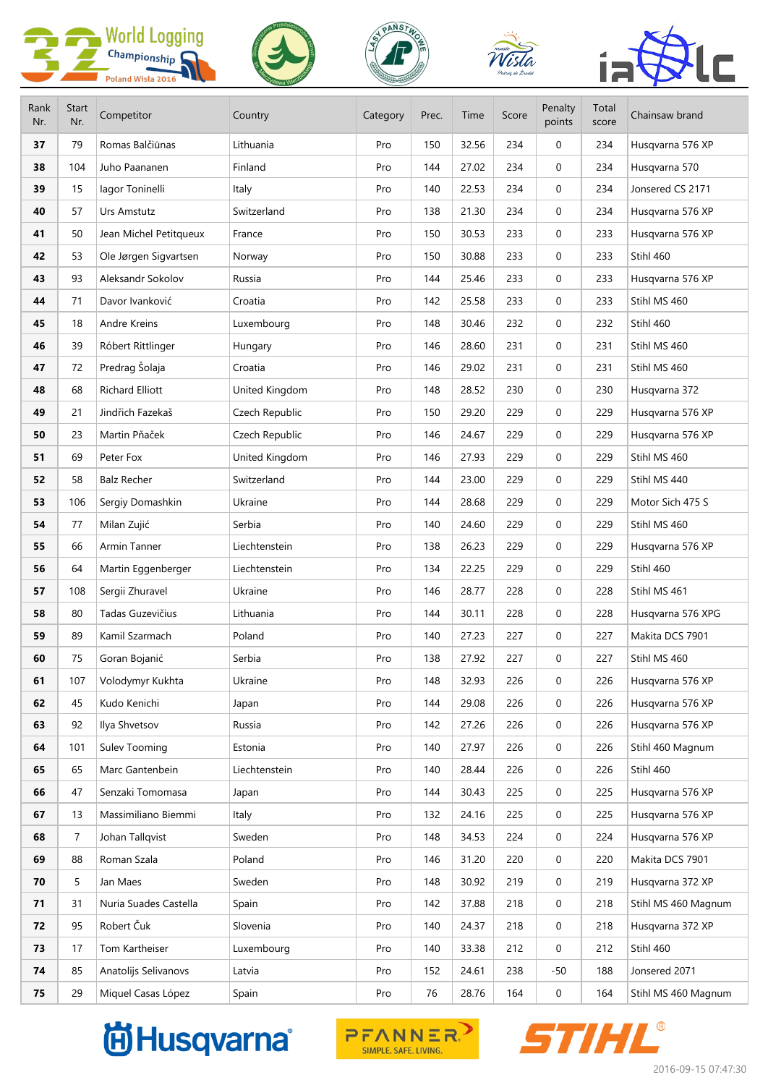|             |                     | <b>World Logging</b>   |                | DANSTH   |       |       |       |                   |                |                     |
|-------------|---------------------|------------------------|----------------|----------|-------|-------|-------|-------------------|----------------|---------------------|
|             |                     | Championship           |                |          |       |       |       |                   |                |                     |
|             |                     | Poland Wisła 2016      |                |          |       |       |       |                   |                |                     |
| Rank<br>Nr. | <b>Start</b><br>Nr. | Competitor             | Country        | Category | Prec. | Time  | Score | Penalty<br>points | Total<br>score | Chainsaw brand      |
| 37          | 79                  | Romas Balčiūnas        | Lithuania      | Pro      | 150   | 32.56 | 234   | 0                 | 234            | Husqvarna 576 XP    |
| 38          | 104                 | Juho Paananen          | Finland        | Pro      | 144   | 27.02 | 234   | $\mathbf{0}$      | 234            | Husqvarna 570       |
| 39          | 15                  | lagor Toninelli        | Italy          | Pro      | 140   | 22.53 | 234   | 0                 | 234            | Jonsered CS 2171    |
| 40          | 57                  | Urs Amstutz            | Switzerland    | Pro      | 138   | 21.30 | 234   | $\mathbf{0}$      | 234            | Husqvarna 576 XP    |
| 41          | 50                  | Jean Michel Petitqueux | France         | Pro      | 150   | 30.53 | 233   | $\mathbf{0}$      | 233            | Husqvarna 576 XP    |
| 42          | 53                  | Ole Jørgen Sigvartsen  | Norway         | Pro      | 150   | 30.88 | 233   | 0                 | 233            | Stihl 460           |
| 43          | 93                  | Aleksandr Sokolov      | Russia         | Pro      | 144   | 25.46 | 233   | $\mathbf{0}$      | 233            | Husqvarna 576 XP    |
| 44          | 71                  | Davor Ivanković        | Croatia        | Pro      | 142   | 25.58 | 233   | 0                 | 233            | Stihl MS 460        |
| 45          | 18                  | Andre Kreins           | Luxembourg     | Pro      | 148   | 30.46 | 232   | 0                 | 232            | Stihl 460           |
| 46          | 39                  | Róbert Rittlinger      | Hungary        | Pro      | 146   | 28.60 | 231   | 0                 | 231            | Stihl MS 460        |
| 47          | 72                  | Predrag Šolaja         | Croatia        | Pro      | 146   | 29.02 | 231   | 0                 | 231            | Stihl MS 460        |
| 48          | 68                  | <b>Richard Elliott</b> | United Kingdom | Pro      | 148   | 28.52 | 230   | 0                 | 230            | Husqvarna 372       |
| 49          | 21                  | Jindřich Fazekaš       | Czech Republic | Pro      | 150   | 29.20 | 229   | $\mathbf{0}$      | 229            | Husqvarna 576 XP    |
| 50          | 23                  | Martin Pňaček          | Czech Republic | Pro      | 146   | 24.67 | 229   | $\mathbf{0}$      | 229            | Husqvarna 576 XP    |
| 51          | 69                  | Peter Fox              | United Kingdom | Pro      | 146   | 27.93 | 229   | 0                 | 229            | Stihl MS 460        |
| 52          | 58                  | <b>Balz Recher</b>     | Switzerland    | Pro      | 144   | 23.00 | 229   | 0                 | 229            | Stihl MS 440        |
| 53          | 106                 | Sergiy Domashkin       | Ukraine        | Pro      | 144   | 28.68 | 229   | 0                 | 229            | Motor Sich 475 S    |
| 54          | 77                  | Milan Zujić            | Serbia         | Pro      | 140   | 24.60 | 229   | $\mathbf{0}$      | 229            | Stihl MS 460        |
| 55          | 66                  | Armin Tanner           | Liechtenstein  | Pro      | 138   | 26.23 | 229   | 0                 | 229            | Husqvarna 576 XP    |
| 56          | 64                  | Martin Eggenberger     | Liechtenstein  | Pro      | 134   | 22.25 | 229   | 0                 | 229            | Stihl 460           |
| 57          | 108                 | Sergii Zhuravel        | Ukraine        | Pro      | 146   | 28.77 | 228   | 0                 | 228            | Stihl MS 461        |
| 58          | 80                  | Tadas Guzevičius       | Lithuania      | Pro      | 144   | 30.11 | 228   | 0                 | 228            | Husqvarna 576 XPG   |
| 59          | 89                  | Kamil Szarmach         | Poland         | Pro      | 140   | 27.23 | 227   | 0                 | 227            | Makita DCS 7901     |
| 60          | 75                  | Goran Bojanić          | Serbia         | Pro      | 138   | 27.92 | 227   | 0                 | 227            | Stihl MS 460        |
| 61          | 107                 | Volodymyr Kukhta       | Ukraine        | Pro      | 148   | 32.93 | 226   | 0                 | 226            | Husqvarna 576 XP    |
| 62          | 45                  | Kudo Kenichi           | Japan          | Pro      | 144   | 29.08 | 226   | 0                 | 226            | Husqvarna 576 XP    |
| 63          | 92                  | Ilya Shvetsov          | Russia         | Pro      | 142   | 27.26 | 226   | 0                 | 226            | Husqvarna 576 XP    |
| 64          | 101                 | Sulev Tooming          | Estonia        | Pro      | 140   | 27.97 | 226   | 0                 | 226            | Stihl 460 Magnum    |
| 65          | 65                  | Marc Gantenbein        | Liechtenstein  | Pro      | 140   | 28.44 | 226   | 0                 | 226            | Stihl 460           |
| 66          | 47                  | Senzaki Tomomasa       | Japan          | Pro      | 144   | 30.43 | 225   | 0                 | 225            | Husqvarna 576 XP    |
| 67          | 13                  | Massimiliano Biemmi    | Italy          | Pro      | 132   | 24.16 | 225   | 0                 | 225            | Husqvarna 576 XP    |
| 68          | $\overline{7}$      | Johan Tallqvist        | Sweden         | Pro      | 148   | 34.53 | 224   | 0                 | 224            | Husqvarna 576 XP    |
| 69          | 88                  | Roman Szala            | Poland         | Pro      | 146   | 31.20 | 220   | 0                 | 220            | Makita DCS 7901     |
| 70          | 5                   | Jan Maes               | Sweden         | Pro      | 148   | 30.92 | 219   | 0                 | 219            | Husqvarna 372 XP    |
| 71          | 31                  | Nuria Suades Castella  | Spain          | Pro      | 142   | 37.88 | 218   | 0                 | 218            | Stihl MS 460 Magnum |
| 72          | 95                  | Robert Čuk             | Slovenia       | Pro      | 140   | 24.37 | 218   | 0                 | 218            | Husqvarna 372 XP    |
| 73          | 17                  | Tom Kartheiser         | Luxembourg     | Pro      | 140   | 33.38 | 212   | 0                 | 212            | Stihl 460           |
| 74          | 85                  | Anatolijs Selivanovs   | Latvia         | Pro      | 152   | 24.61 | 238   | -50               | 188            | Jonsered 2071       |
| 75          | 29                  | Miquel Casas López     | Spain          | Pro      | 76    | 28.76 | 164   | 0                 | 164            | Stihl MS 460 Magnum |

## **尚Husqvarna**